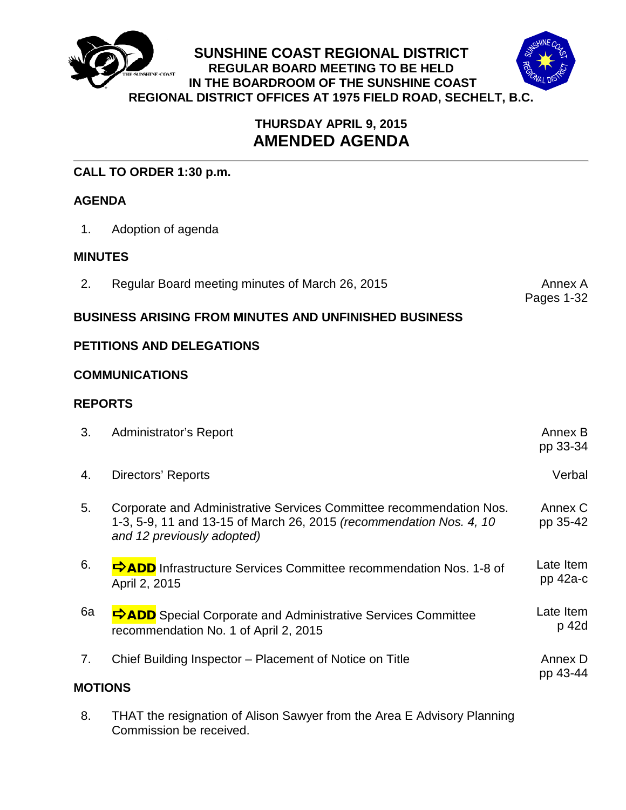



## **THURSDAY APRIL 9, 2015 AMENDED AGENDA**

## **CALL TO ORDER 1:30 p.m.**

## **AGENDA**

1. Adoption of agenda

## **MINUTES**

2. Regular Board meeting minutes of March 26, 2015

Pages 1-32

## **BUSINESS ARISING FROM MINUTES AND UNFINISHED BUSINESS**

## **PETITIONS AND DELEGATIONS**

## **COMMUNICATIONS**

## **REPORTS**

| 3.            | <b>Administrator's Report</b>                                                                                                                                            | Annex B<br>pp 33-34     |
|---------------|--------------------------------------------------------------------------------------------------------------------------------------------------------------------------|-------------------------|
| 4.            | Directors' Reports                                                                                                                                                       | Verbal                  |
| 5.            | Corporate and Administrative Services Committee recommendation Nos.<br>1-3, 5-9, 11 and 13-15 of March 26, 2015 (recommendation Nos. 4, 10<br>and 12 previously adopted) | Annex C<br>pp 35-42     |
| 6.            | <b>DADD</b> Infrastructure Services Committee recommendation Nos. 1-8 of<br>April 2, 2015                                                                                | Late Item<br>$pp$ 42a-c |
| 6a            | <b>DADD</b> Special Corporate and Administrative Services Committee<br>recommendation No. 1 of April 2, 2015                                                             | Late Item<br>p 42d      |
| 7.<br>MOTIONS | Chief Building Inspector – Placement of Notice on Title                                                                                                                  | Annex D<br>pp 43-44     |

8. THAT the resignation of Alison Sawyer from the Area E Advisory Planning Commission be received.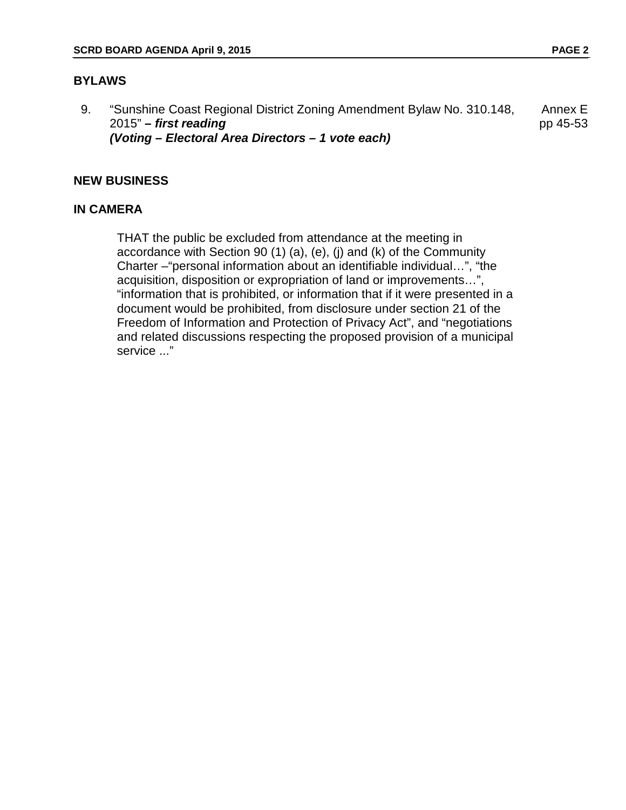## **BYLAWS**

9. "Sunshine Coast Regional District Zoning Amendment Bylaw No. 310.148, 2015" *– first reading (Voting – Electoral Area Directors – 1 vote each)* Annex E pp 45-53

## **NEW BUSINESS**

## **IN CAMERA**

THAT the public be excluded from attendance at the meeting in accordance with Section 90 (1) (a), (e), (j) and (k) of the Community Charter –"personal information about an identifiable individual…", "the acquisition, disposition or expropriation of land or improvements…", "information that is prohibited, or information that if it were presented in a document would be prohibited, from disclosure under section 21 of the Freedom of Information and Protection of Privacy Act", and "negotiations and related discussions respecting the proposed provision of a municipal service ..."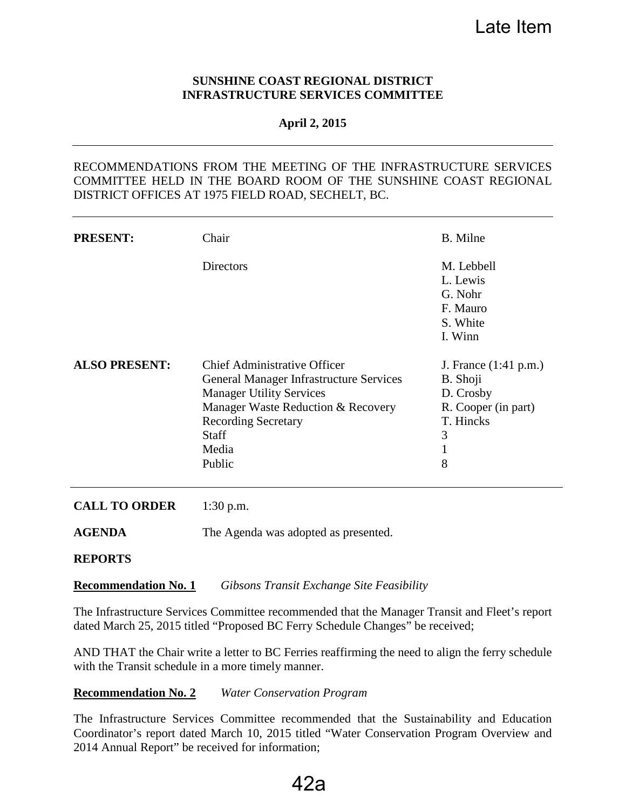#### **SUNSHINE COAST REGIONAL DISTRICT INFRASTRUCTURE SERVICES COMMITTEE**

#### **April 2, 2015**

## RECOMMENDATIONS FROM THE MEETING OF THE INFRASTRUCTURE SERVICES COMMITTEE HELD IN THE BOARD ROOM OF THE SUNSHINE COAST REGIONAL DISTRICT OFFICES AT 1975 FIELD ROAD, SECHELT, BC.

| <b>PRESENT:</b>      | Chair                                                                                                                                                                                                                           | B. Milne                                                                                          |
|----------------------|---------------------------------------------------------------------------------------------------------------------------------------------------------------------------------------------------------------------------------|---------------------------------------------------------------------------------------------------|
|                      | <b>Directors</b>                                                                                                                                                                                                                | M. Lebbell<br>L. Lewis<br>G. Nohr<br>F. Mauro<br>S. White                                         |
|                      |                                                                                                                                                                                                                                 | I. Winn                                                                                           |
| <b>ALSO PRESENT:</b> | <b>Chief Administrative Officer</b><br><b>General Manager Infrastructure Services</b><br><b>Manager Utility Services</b><br>Manager Waste Reduction & Recovery<br><b>Recording Secretary</b><br><b>Staff</b><br>Media<br>Public | J. France (1:41 p.m.)<br>B. Shoji<br>D. Crosby<br>R. Cooper (in part)<br>T. Hincks<br>3<br>1<br>8 |

#### **CALL TO ORDER** 1:30 p.m.

**AGENDA** The Agenda was adopted as presented.

#### **REPORTS**

#### **Recommendation No. 1** *Gibsons Transit Exchange Site Feasibility*

The Infrastructure Services Committee recommended that the Manager Transit and Fleet's report dated March 25, 2015 titled "Proposed BC Ferry Schedule Changes" be received;

AND THAT the Chair write a letter to BC Ferries reaffirming the need to align the ferry schedule with the Transit schedule in a more timely manner.

#### **Recommendation No. 2** *Water Conservation Program*

The Infrastructure Services Committee recommended that the Sustainability and Education Coordinator's report dated March 10, 2015 titled "Water Conservation Program Overview and 2014 Annual Report" be received for information;

# 42a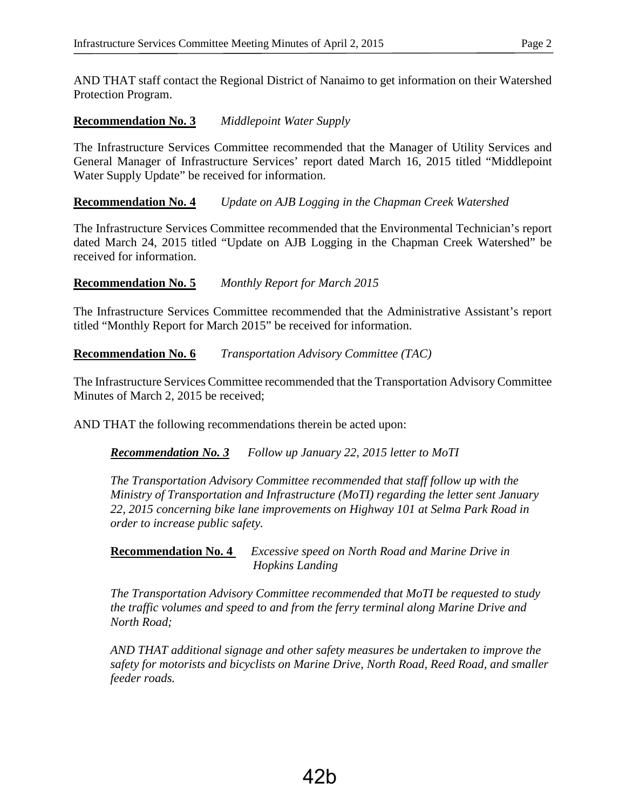AND THAT staff contact the Regional District of Nanaimo to get information on their Watershed Protection Program.

## **Recommendation No. 3** *Middlepoint Water Supply*

The Infrastructure Services Committee recommended that the Manager of Utility Services and General Manager of Infrastructure Services' report dated March 16, 2015 titled "Middlepoint Water Supply Update" be received for information.

## **Recommendation No. 4** *Update on AJB Logging in the Chapman Creek Watershed*

The Infrastructure Services Committee recommended that the Environmental Technician's report dated March 24, 2015 titled "Update on AJB Logging in the Chapman Creek Watershed" be received for information.

## **Recommendation No. 5** *Monthly Report for March 2015*

The Infrastructure Services Committee recommended that the Administrative Assistant's report titled "Monthly Report for March 2015" be received for information.

**Recommendation No. 6** *Transportation Advisory Committee (TAC)*

The Infrastructure Services Committee recommended that the Transportation Advisory Committee Minutes of March 2, 2015 be received;

AND THAT the following recommendations therein be acted upon:

## *Recommendation No. 3 Follow up January 22, 2015 letter to MoTI*

*The Transportation Advisory Committee recommended that staff follow up with the Ministry of Transportation and Infrastructure (MoTI) regarding the letter sent January 22, 2015 concerning bike lane improvements on Highway 101 at Selma Park Road in order to increase public safety.*

**Recommendation No. 4** *Excessive speed on North Road and Marine Drive in Hopkins Landing*

*The Transportation Advisory Committee recommended that MoTI be requested to study the traffic volumes and speed to and from the ferry terminal along Marine Drive and North Road;* 

*AND THAT additional signage and other safety measures be undertaken to improve the safety for motorists and bicyclists on Marine Drive, North Road, Reed Road, and smaller feeder roads.*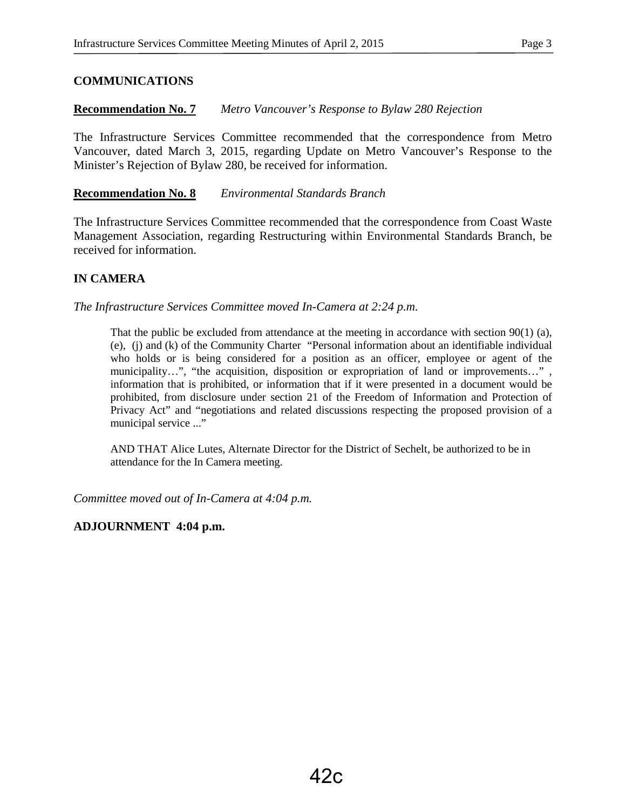## **COMMUNICATIONS**

## **Recommendation No. 7** *Metro Vancouver's Response to Bylaw 280 Rejection*

The Infrastructure Services Committee recommended that the correspondence from Metro Vancouver, dated March 3, 2015, regarding Update on Metro Vancouver's Response to the Minister's Rejection of Bylaw 280, be received for information.

#### **Recommendation No. 8** *Environmental Standards Branch*

The Infrastructure Services Committee recommended that the correspondence from Coast Waste Management Association, regarding Restructuring within Environmental Standards Branch, be received for information.

## **IN CAMERA**

*The Infrastructure Services Committee moved In-Camera at 2:24 p.m.* 

That the public be excluded from attendance at the meeting in accordance with section  $90(1)$  (a), (e), (j) and (k) of the Community Charter "Personal information about an identifiable individual who holds or is being considered for a position as an officer, employee or agent of the municipality…", "the acquisition, disposition or expropriation of land or improvements...", information that is prohibited, or information that if it were presented in a document would be prohibited, from disclosure under section 21 of the Freedom of Information and Protection of Privacy Act" and "negotiations and related discussions respecting the proposed provision of a municipal service ..."

AND THAT Alice Lutes, Alternate Director for the District of Sechelt, be authorized to be in attendance for the In Camera meeting.

*Committee moved out of In-Camera at 4:04 p.m.*

#### **ADJOURNMENT 4:04 p.m.**